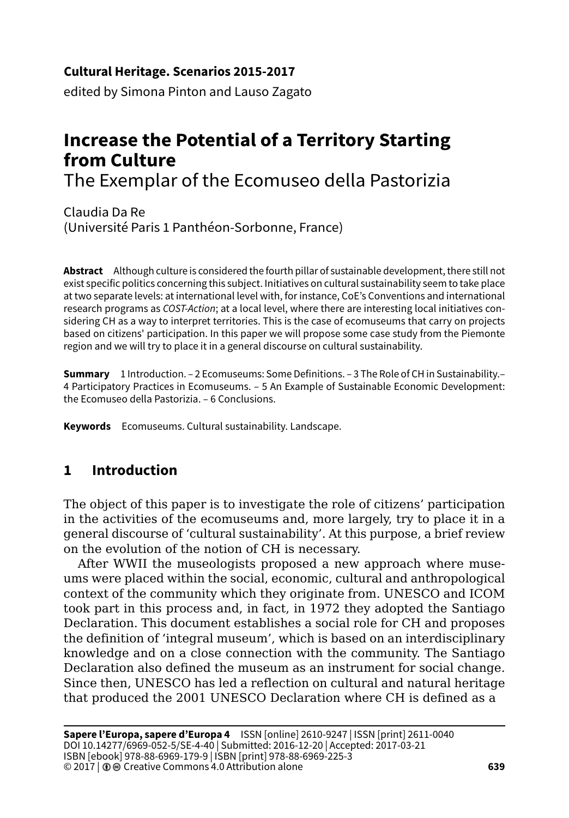## **Cultural Heritage. Scenarios 2015-2017**

edited by Simona Pinton and Lauso Zagato

# **Increase the Potential of a Territory Starting from Culture**

The Exemplar of the Ecomuseo della Pastorizia

Claudia Da Re (Université Paris 1 Panthéon-Sorbonne, France)

**Abstract** Although culture is considered the fourth pillar of sustainable development, there still not exist specific politics concerning this subject. Initiatives on cultural sustainability seem to take place at two separate levels: at international level with, for instance, CoE's Conventions and international research programs as *COST-Action*; at a local level, where there are interesting local initiatives considering CH as a way to interpret territories. This is the case of ecomuseums that carry on projects based on citizens' participation. In this paper we will propose some case study from the Piemonte region and we will try to place it in a general discourse on cultural sustainability.

**Summary** 1 Introduction. – 2 Ecomuseums: Some Definitions. – 3 The Role of CH in Sustainability.– 4 Participatory Practices in Ecomuseums. – 5 An Example of Sustainable Economic Development: the Ecomuseo della Pastorizia. – 6 Conclusions.

**Keywords** Ecomuseums. Cultural sustainability. Landscape.

## **1 Introduction**

The object of this paper is to investigate the role of citizens' participation in the activities of the ecomuseums and, more largely, try to place it in a general discourse of 'cultural sustainability'. At this purpose, a brief review on the evolution of the notion of CH is necessary.

After WWII the museologists proposed a new approach where museums were placed within the social, economic, cultural and anthropological context of the community which they originate from. UNESCO and ICOM took part in this process and, in fact, in 1972 they adopted the Santiago Declaration. This document establishes a social role for CH and proposes the definition of 'integral museum', which is based on an interdisciplinary knowledge and on a close connection with the community. The Santiago Declaration also defined the museum as an instrument for social change. Since then, UNESCO has led a reflection on cultural and natural heritage that produced the 2001 UNESCO Declaration where CH is defined as a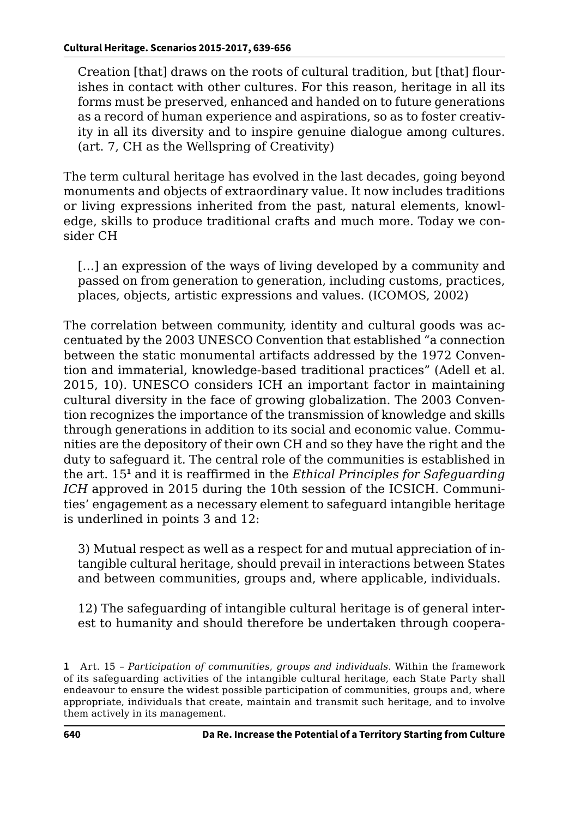Creation [that] draws on the roots of cultural tradition, but [that] flourishes in contact with other cultures. For this reason, heritage in all its forms must be preserved, enhanced and handed on to future generations as a record of human experience and aspirations, so as to foster creativity in all its diversity and to inspire genuine dialogue among cultures. (art. 7, CH as the Wellspring of Creativity)

The term cultural heritage has evolved in the last decades, going beyond monuments and objects of extraordinary value. It now includes traditions or living expressions inherited from the past, natural elements, knowledge, skills to produce traditional crafts and much more. Today we consider CH

[...] an expression of the ways of living developed by a community and passed on from generation to generation, including customs, practices, places, objects, artistic expressions and values. (ICOMOS, 2002)

The correlation between community, identity and cultural goods was accentuated by the 2003 UNESCO Convention that established "a connection between the static monumental artifacts addressed by the 1972 Convention and immaterial, knowledge-based traditional practices" (Adell et al. 2015, 10). UNESCO considers ICH an important factor in maintaining cultural diversity in the face of growing globalization. The 2003 Convention recognizes the importance of the transmission of knowledge and skills through generations in addition to its social and economic value. Communities are the depository of their own CH and so they have the right and the duty to safeguard it. The central role of the communities is established in the art. 15**<sup>1</sup>** and it is reaffirmed in the *Ethical Principles for Safeguarding ICH* approved in 2015 during the 10th session of the ICSICH. Communities' engagement as a necessary element to safeguard intangible heritage is underlined in points 3 and 12:

3) Mutual respect as well as a respect for and mutual appreciation of intangible cultural heritage, should prevail in interactions between States and between communities, groups and, where applicable, individuals.

12) The safeguarding of intangible cultural heritage is of general interest to humanity and should therefore be undertaken through coopera-

**<sup>1</sup>** Art. 15 – *Participation of communities, groups and individuals*. Within the framework of its safeguarding activities of the intangible cultural heritage, each State Party shall endeavour to ensure the widest possible participation of communities, groups and, where appropriate, individuals that create, maintain and transmit such heritage, and to involve them actively in its management.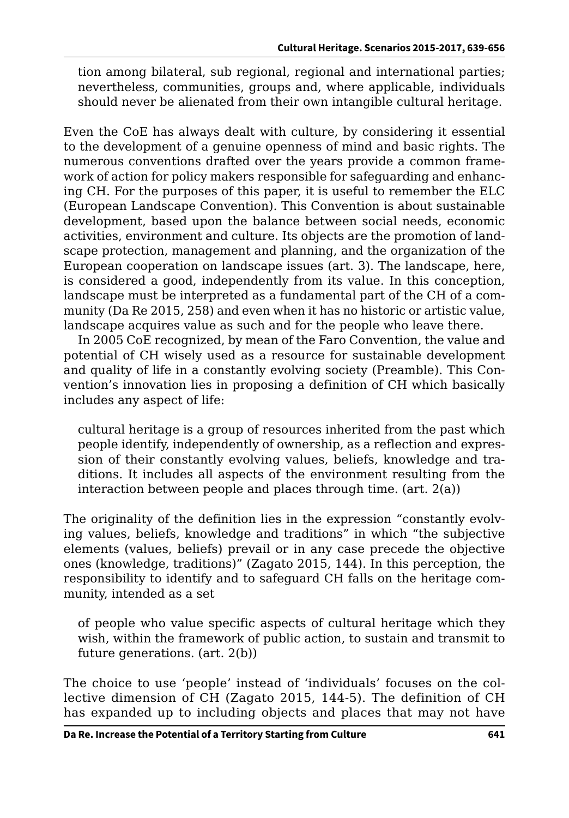tion among bilateral, sub regional, regional and international parties; nevertheless, communities, groups and, where applicable, individuals should never be alienated from their own intangible cultural heritage.

Even the CoE has always dealt with culture, by considering it essential to the development of a genuine openness of mind and basic rights. The numerous conventions drafted over the years provide a common framework of action for policy makers responsible for safeguarding and enhancing CH. For the purposes of this paper, it is useful to remember the ELC (European Landscape Convention). This Convention is about sustainable development, based upon the balance between social needs, economic activities, environment and culture. Its objects are the promotion of landscape protection, management and planning, and the organization of the European cooperation on landscape issues (art. 3). The landscape, here, is considered a good, independently from its value. In this conception, landscape must be interpreted as a fundamental part of the CH of a community (Da Re 2015, 258) and even when it has no historic or artistic value, landscape acquires value as such and for the people who leave there.

In 2005 CoE recognized, by mean of the Faro Convention, the value and potential of CH wisely used as a resource for sustainable development and quality of life in a constantly evolving society (Preamble). This Convention's innovation lies in proposing a definition of CH which basically includes any aspect of life:

cultural heritage is a group of resources inherited from the past which people identify, independently of ownership, as a reflection and expression of their constantly evolving values, beliefs, knowledge and traditions. It includes all aspects of the environment resulting from the interaction between people and places through time. (art. 2(a))

The originality of the definition lies in the expression "constantly evolving values, beliefs, knowledge and traditions" in which "the subjective elements (values, beliefs) prevail or in any case precede the objective ones (knowledge, traditions)" (Zagato 2015, 144). In this perception, the responsibility to identify and to safeguard CH falls on the heritage community, intended as a set

of people who value specific aspects of cultural heritage which they wish, within the framework of public action, to sustain and transmit to future generations. (art. 2(b))

The choice to use 'people' instead of 'individuals' focuses on the collective dimension of CH (Zagato 2015, 144-5). The definition of CH has expanded up to including objects and places that may not have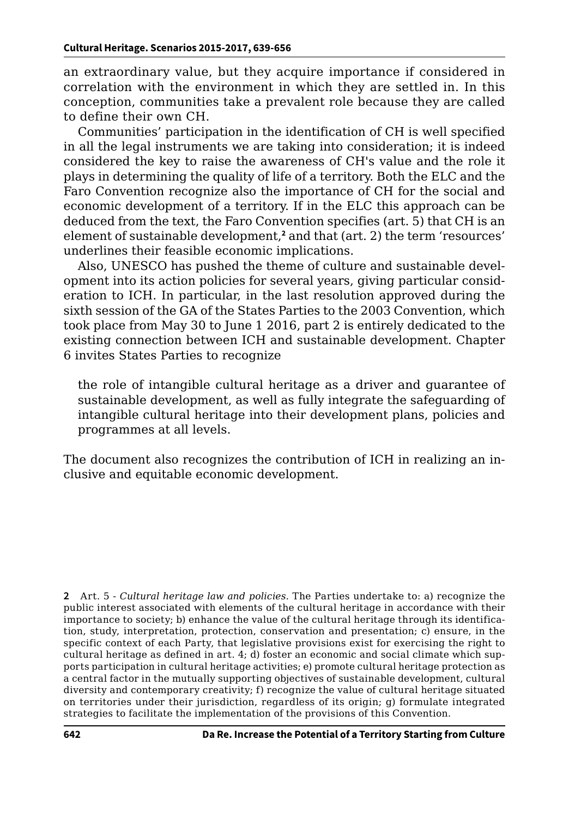an extraordinary value, but they acquire importance if considered in correlation with the environment in which they are settled in. In this conception, communities take a prevalent role because they are called to define their own CH.

Communities' participation in the identification of CH is well specified in all the legal instruments we are taking into consideration; it is indeed considered the key to raise the awareness of CH's value and the role it plays in determining the quality of life of a territory. Both the ELC and the Faro Convention recognize also the importance of CH for the social and economic development of a territory. If in the ELC this approach can be deduced from the text, the Faro Convention specifies (art. 5) that CH is an element of sustainable development,<sup>2</sup> and that (art. 2) the term 'resources' underlines their feasible economic implications.

Also, UNESCO has pushed the theme of culture and sustainable development into its action policies for several years, giving particular consideration to ICH. In particular, in the last resolution approved during the sixth session of the GA of the States Parties to the 2003 Convention, which took place from May 30 to June 1 2016, part 2 is entirely dedicated to the existing connection between ICH and sustainable development. Chapter 6 invites States Parties to recognize

the role of intangible cultural heritage as a driver and guarantee of sustainable development, as well as fully integrate the safeguarding of intangible cultural heritage into their development plans, policies and programmes at all levels.

The document also recognizes the contribution of ICH in realizing an inclusive and equitable economic development.

**2** Art. 5 - *Cultural heritage law and policies*. The Parties undertake to: a) recognize the public interest associated with elements of the cultural heritage in accordance with their importance to society; b) enhance the value of the cultural heritage through its identification, study, interpretation, protection, conservation and presentation; c) ensure, in the specific context of each Party, that legislative provisions exist for exercising the right to cultural heritage as defined in art.  $4$ ; d) foster an economic and social climate which supports participation in cultural heritage activities; e) promote cultural heritage protection as a central factor in the mutually supporting objectives of sustainable development, cultural diversity and contemporary creativity; f) recognize the value of cultural heritage situated on territories under their jurisdiction, regardless of its origin; g) formulate integrated strategies to facilitate the implementation of the provisions of this Convention.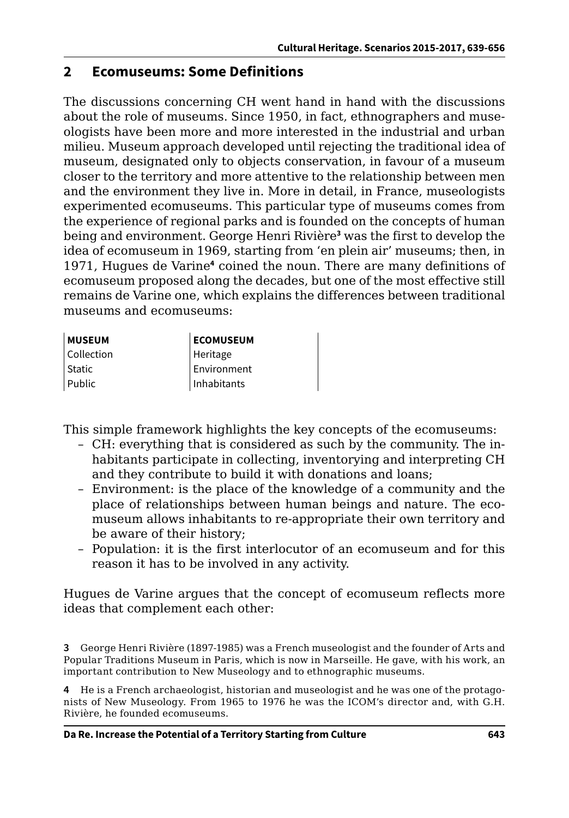## **2 Ecomuseums: Some Definitions**

The discussions concerning CH went hand in hand with the discussions about the role of museums. Since 1950, in fact, ethnographers and museologists have been more and more interested in the industrial and urban milieu. Museum approach developed until rejecting the traditional idea of museum, designated only to objects conservation, in favour of a museum closer to the territory and more attentive to the relationship between men and the environment they live in. More in detail, in France, museologists experimented ecomuseums. This particular type of museums comes from the experience of regional parks and is founded on the concepts of human being and environment. George Henri Rivière**<sup>3</sup>** was the first to develop the idea of ecomuseum in 1969, starting from 'en plein air' museums; then, in 1971, Hugues de Varine**<sup>4</sup>** coined the noun. There are many definitions of ecomuseum proposed along the decades, but one of the most effective still remains de Varine one, which explains the differences between traditional museums and ecomuseums:

| <b>MUSEUM</b>     | <b>ECOMUSEUM</b> |
|-------------------|------------------|
| <b>Collection</b> | Heritage         |
| <b>Static</b>     | Environment      |
| Public            | Inhabitants      |

This simple framework highlights the key concepts of the ecomuseums:

- CH: everything that is considered as such by the community. The inhabitants participate in collecting, inventorying and interpreting CH and they contribute to build it with donations and loans;
- Environment: is the place of the knowledge of a community and the place of relationships between human beings and nature. The ecomuseum allows inhabitants to re-appropriate their own territory and be aware of their history;
- Population: it is the first interlocutor of an ecomuseum and for this reason it has to be involved in any activity.

Hugues de Varine argues that the concept of ecomuseum reflects more ideas that complement each other:

**3** George Henri Rivière (1897-1985) was a French museologist and the founder of Arts and Popular Traditions Museum in Paris, which is now in Marseille. He gave, with his work, an important contribution to New Museology and to ethnographic museums.

**4** He is a French archaeologist, historian and museologist and he was one of the protagonists of New Museology. From 1965 to 1976 he was the ICOM's director and, with G.H. Rivière, he founded ecomuseums.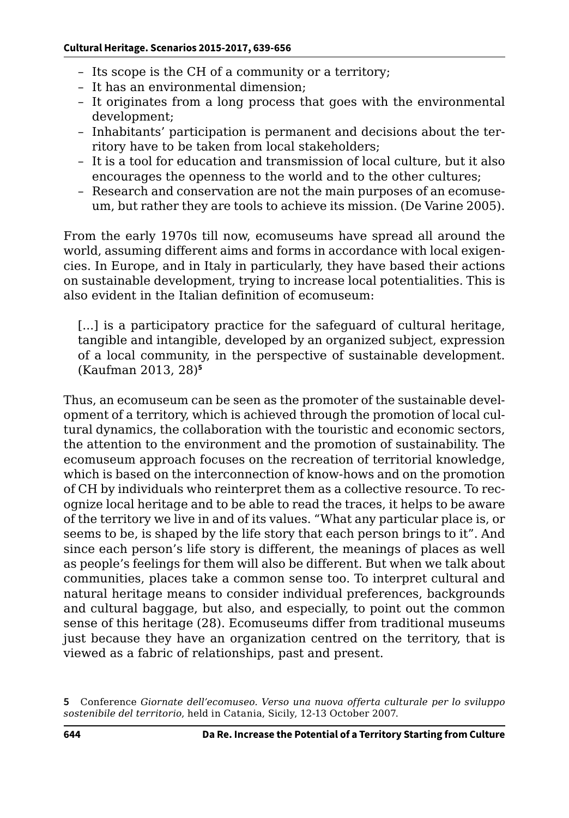- Its scope is the CH of a community or a territory;
- It has an environmental dimension;
- It originates from a long process that goes with the environmental development;
- Inhabitants' participation is permanent and decisions about the territory have to be taken from local stakeholders;
- It is a tool for education and transmission of local culture, but it also encourages the openness to the world and to the other cultures;
- Research and conservation are not the main purposes of an ecomuseum, but rather they are tools to achieve its mission. (De Varine 2005).

From the early 1970s till now, ecomuseums have spread all around the world, assuming different aims and forms in accordance with local exigencies. In Europe, and in Italy in particularly, they have based their actions on sustainable development, trying to increase local potentialities. This is also evident in the Italian definition of ecomuseum:

[...] is a participatory practice for the safeguard of cultural heritage, tangible and intangible, developed by an organized subject, expression of a local community, in the perspective of sustainable development. (Kaufman 2013, 28)**<sup>5</sup>**

Thus, an ecomuseum can be seen as the promoter of the sustainable development of a territory, which is achieved through the promotion of local cultural dynamics, the collaboration with the touristic and economic sectors, the attention to the environment and the promotion of sustainability. The ecomuseum approach focuses on the recreation of territorial knowledge, which is based on the interconnection of know-hows and on the promotion of CH by individuals who reinterpret them as a collective resource. To recognize local heritage and to be able to read the traces, it helps to be aware of the territory we live in and of its values. "What any particular place is, or seems to be, is shaped by the life story that each person brings to it". And since each person's life story is different, the meanings of places as well as people's feelings for them will also be different. But when we talk about communities, places take a common sense too. To interpret cultural and natural heritage means to consider individual preferences, backgrounds and cultural baggage, but also, and especially, to point out the common sense of this heritage (28). Ecomuseums differ from traditional museums just because they have an organization centred on the territory, that is viewed as a fabric of relationships, past and present.

**<sup>5</sup>** Conference *Giornate dell'ecomuseo. Verso una nuova offerta culturale per lo sviluppo sostenibile del territorio*, held in Catania, Sicily, 12-13 October 2007.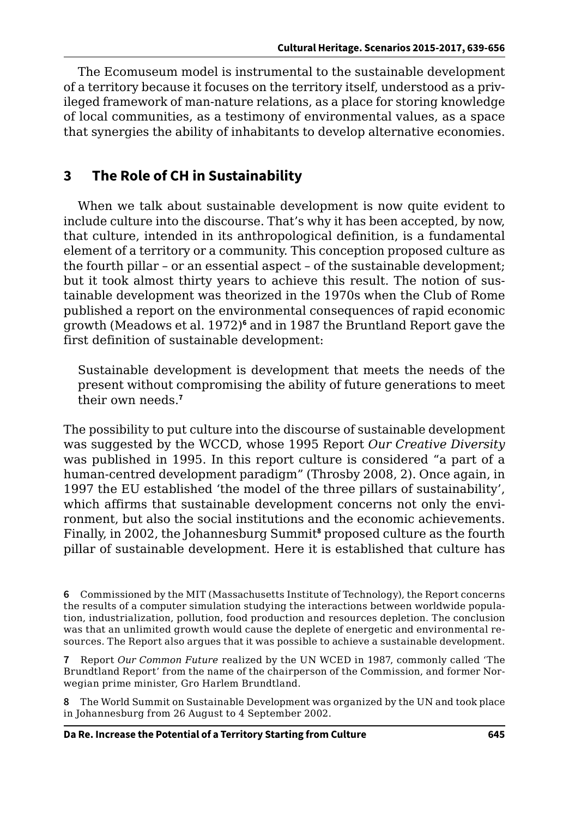The Ecomuseum model is instrumental to the sustainable development of a territory because it focuses on the territory itself, understood as a privileged framework of man-nature relations, as a place for storing knowledge of local communities, as a testimony of environmental values, as a space that synergies the ability of inhabitants to develop alternative economies.

## **3 The Role of CH in Sustainability**

When we talk about sustainable development is now quite evident to include culture into the discourse. That's why it has been accepted, by now, that culture, intended in its anthropological definition, is a fundamental element of a territory or a community. This conception proposed culture as the fourth pillar – or an essential aspect – of the sustainable development; but it took almost thirty years to achieve this result. The notion of sustainable development was theorized in the 1970s when the Club of Rome published a report on the environmental consequences of rapid economic growth (Meadows et al. 1972)**<sup>6</sup>** and in 1987 the Bruntland Report gave the first definition of sustainable development:

Sustainable development is development that meets the needs of the present without compromising the ability of future generations to meet their own needs.**<sup>7</sup>**

The possibility to put culture into the discourse of sustainable development was suggested by the WCCD, whose 1995 Report *Our Creative Diversity*  was published in 1995. In this report culture is considered "a part of a human-centred development paradigm" (Throsby 2008, 2). Once again, in 1997 the EU established 'the model of the three pillars of sustainability', which affirms that sustainable development concerns not only the environment, but also the social institutions and the economic achievements. Finally, in 2002, the Johannesburg Summit**<sup>8</sup>** proposed culture as the fourth pillar of sustainable development. Here it is established that culture has

**6** Commissioned by the MIT (Massachusetts Institute of Technology), the Report concerns the results of a computer simulation studying the interactions between worldwide population, industrialization, pollution, food production and resources depletion. The conclusion was that an unlimited growth would cause the deplete of energetic and environmental resources. The Report also argues that it was possible to achieve a sustainable development.

**7** Report *Our Common Future* realized by the UN WCED in 1987, commonly called 'The Brundtland Report' from the name of the chairperson of the Commission, and former Norwegian prime minister, Gro Harlem Brundtland.

**8** The World Summit on Sustainable Development was organized by the UN and took place in Johannesburg from 26 August to 4 September 2002.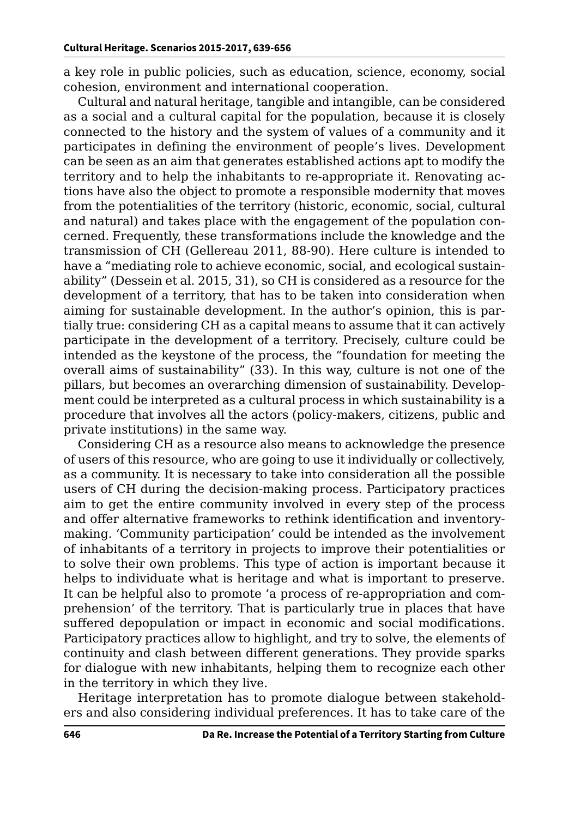a key role in public policies, such as education, science, economy, social cohesion, environment and international cooperation.

Cultural and natural heritage, tangible and intangible, can be considered as a social and a cultural capital for the population, because it is closely connected to the history and the system of values of a community and it participates in defining the environment of people's lives. Development can be seen as an aim that generates established actions apt to modify the territory and to help the inhabitants to re-appropriate it. Renovating actions have also the object to promote a responsible modernity that moves from the potentialities of the territory (historic, economic, social, cultural and natural) and takes place with the engagement of the population concerned. Frequently, these transformations include the knowledge and the transmission of CH (Gellereau 2011, 88-90). Here culture is intended to have a "mediating role to achieve economic, social, and ecological sustainability" (Dessein et al. 2015, 31), so CH is considered as a resource for the development of a territory, that has to be taken into consideration when aiming for sustainable development. In the author's opinion, this is partially true: considering CH as a capital means to assume that it can actively participate in the development of a territory. Precisely, culture could be intended as the keystone of the process, the "foundation for meeting the overall aims of sustainability" (33). In this way, culture is not one of the pillars, but becomes an overarching dimension of sustainability. Development could be interpreted as a cultural process in which sustainability is a procedure that involves all the actors (policy-makers, citizens, public and private institutions) in the same way.

Considering CH as a resource also means to acknowledge the presence of users of this resource, who are going to use it individually or collectively, as a community. It is necessary to take into consideration all the possible users of CH during the decision-making process. Participatory practices aim to get the entire community involved in every step of the process and offer alternative frameworks to rethink identification and inventorymaking. 'Community participation' could be intended as the involvement of inhabitants of a territory in projects to improve their potentialities or to solve their own problems. This type of action is important because it helps to individuate what is heritage and what is important to preserve. It can be helpful also to promote 'a process of re-appropriation and comprehension' of the territory. That is particularly true in places that have suffered depopulation or impact in economic and social modifications. Participatory practices allow to highlight, and try to solve, the elements of continuity and clash between different generations. They provide sparks for dialogue with new inhabitants, helping them to recognize each other in the territory in which they live.

Heritage interpretation has to promote dialogue between stakeholders and also considering individual preferences. It has to take care of the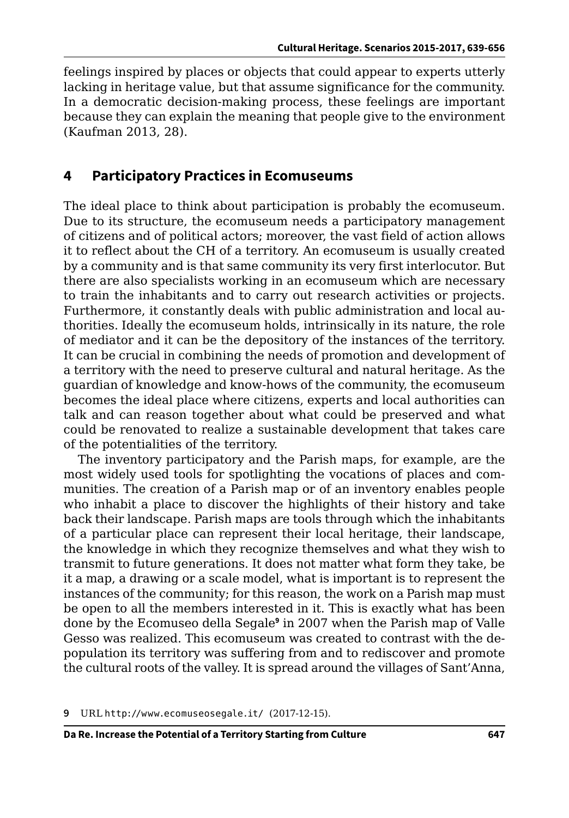feelings inspired by places or objects that could appear to experts utterly lacking in heritage value, but that assume significance for the community. In a democratic decision-making process, these feelings are important because they can explain the meaning that people give to the environment (Kaufman 2013, 28).

#### **4 Participatory Practices in Ecomuseums**

The ideal place to think about participation is probably the ecomuseum. Due to its structure, the ecomuseum needs a participatory management of citizens and of political actors; moreover, the vast field of action allows it to reflect about the CH of a territory. An ecomuseum is usually created by a community and is that same community its very first interlocutor. But there are also specialists working in an ecomuseum which are necessary to train the inhabitants and to carry out research activities or projects. Furthermore, it constantly deals with public administration and local authorities. Ideally the ecomuseum holds, intrinsically in its nature, the role of mediator and it can be the depository of the instances of the territory. It can be crucial in combining the needs of promotion and development of a territory with the need to preserve cultural and natural heritage. As the guardian of knowledge and know-hows of the community, the ecomuseum becomes the ideal place where citizens, experts and local authorities can talk and can reason together about what could be preserved and what could be renovated to realize a sustainable development that takes care of the potentialities of the territory.

The inventory participatory and the Parish maps, for example, are the most widely used tools for spotlighting the vocations of places and communities. The creation of a Parish map or of an inventory enables people who inhabit a place to discover the highlights of their history and take back their landscape. Parish maps are tools through which the inhabitants of a particular place can represent their local heritage, their landscape, the knowledge in which they recognize themselves and what they wish to transmit to future generations. It does not matter what form they take, be it a map, a drawing or a scale model, what is important is to represent the instances of the community; for this reason, the work on a Parish map must be open to all the members interested in it. This is exactly what has been done by the Ecomuseo della Segale**<sup>9</sup>** in 2007 when the Parish map of Valle Gesso was realized. This ecomuseum was created to contrast with the depopulation its territory was suffering from and to rediscover and promote the cultural roots of the valley. It is spread around the villages of Sant'Anna,

**9** URL <http://www.ecomuseosegale.it/> (2017-12-15).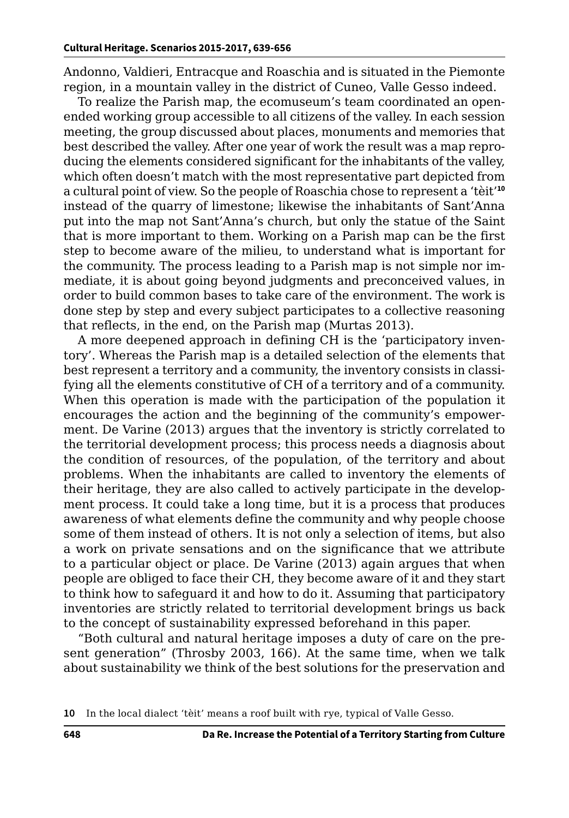Andonno, Valdieri, Entracque and Roaschia and is situated in the Piemonte region, in a mountain valley in the district of Cuneo, Valle Gesso indeed.

To realize the Parish map, the ecomuseum's team coordinated an openended working group accessible to all citizens of the valley. In each session meeting, the group discussed about places, monuments and memories that best described the valley. After one year of work the result was a map reproducing the elements considered significant for the inhabitants of the valley, which often doesn't match with the most representative part depicted from a cultural point of view. So the people of Roaschia chose to represent a 'tèit'**<sup>10</sup>** instead of the quarry of limestone; likewise the inhabitants of Sant'Anna put into the map not Sant'Anna's church, but only the statue of the Saint that is more important to them. Working on a Parish map can be the first step to become aware of the milieu, to understand what is important for the community. The process leading to a Parish map is not simple nor immediate, it is about going beyond judgments and preconceived values, in order to build common bases to take care of the environment. The work is done step by step and every subject participates to a collective reasoning that reflects, in the end, on the Parish map (Murtas 2013).

A more deepened approach in defining CH is the 'participatory inventory'. Whereas the Parish map is a detailed selection of the elements that best represent a territory and a community, the inventory consists in classifying all the elements constitutive of CH of a territory and of a community. When this operation is made with the participation of the population it encourages the action and the beginning of the community's empowerment. De Varine (2013) argues that the inventory is strictly correlated to the territorial development process; this process needs a diagnosis about the condition of resources, of the population, of the territory and about problems. When the inhabitants are called to inventory the elements of their heritage, they are also called to actively participate in the development process. It could take a long time, but it is a process that produces awareness of what elements define the community and why people choose some of them instead of others. It is not only a selection of items, but also a work on private sensations and on the significance that we attribute to a particular object or place. De Varine (2013) again argues that when people are obliged to face their CH, they become aware of it and they start to think how to safeguard it and how to do it. Assuming that participatory inventories are strictly related to territorial development brings us back to the concept of sustainability expressed beforehand in this paper.

"Both cultural and natural heritage imposes a duty of care on the present generation" (Throsby 2003, 166). At the same time, when we talk about sustainability we think of the best solutions for the preservation and

**<sup>10</sup>** In the local dialect 'tèit' means a roof built with rye, typical of Valle Gesso.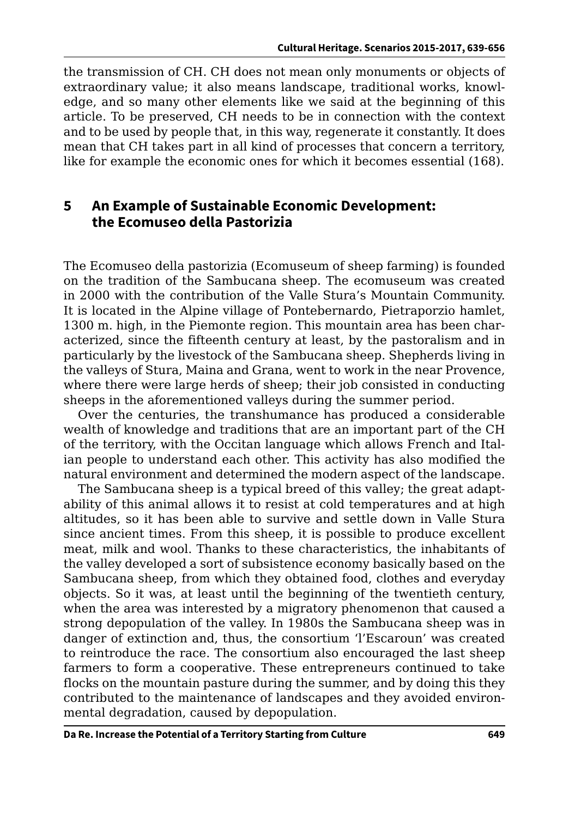the transmission of CH. CH does not mean only monuments or objects of extraordinary value; it also means landscape, traditional works, knowledge, and so many other elements like we said at the beginning of this article. To be preserved, CH needs to be in connection with the context and to be used by people that, in this way, regenerate it constantly. It does mean that CH takes part in all kind of processes that concern a territory, like for example the economic ones for which it becomes essential (168).

## **5 An Example of Sustainable Economic Development: the Ecomuseo della Pastorizia**

The Ecomuseo della pastorizia (Ecomuseum of sheep farming) is founded on the tradition of the Sambucana sheep. The ecomuseum was created in 2000 with the contribution of the Valle Stura's Mountain Community. It is located in the Alpine village of Pontebernardo, Pietraporzio hamlet, 1300 m. high, in the Piemonte region. This mountain area has been characterized, since the fifteenth century at least, by the pastoralism and in particularly by the livestock of the Sambucana sheep. Shepherds living in the valleys of Stura, Maina and Grana, went to work in the near Provence, where there were large herds of sheep; their job consisted in conducting sheeps in the aforementioned valleys during the summer period.

Over the centuries, the transhumance has produced a considerable wealth of knowledge and traditions that are an important part of the CH of the territory, with the Occitan language which allows French and Italian people to understand each other. This activity has also modified the natural environment and determined the modern aspect of the landscape.

The Sambucana sheep is a typical breed of this valley; the great adaptability of this animal allows it to resist at cold temperatures and at high altitudes, so it has been able to survive and settle down in Valle Stura since ancient times. From this sheep, it is possible to produce excellent meat, milk and wool. Thanks to these characteristics, the inhabitants of the valley developed a sort of subsistence economy basically based on the Sambucana sheep, from which they obtained food, clothes and everyday objects. So it was, at least until the beginning of the twentieth century, when the area was interested by a migratory phenomenon that caused a strong depopulation of the valley. In 1980s the Sambucana sheep was in danger of extinction and, thus, the consortium 'l'Escaroun' was created to reintroduce the race. The consortium also encouraged the last sheep farmers to form a cooperative. These entrepreneurs continued to take flocks on the mountain pasture during the summer, and by doing this they contributed to the maintenance of landscapes and they avoided environmental degradation, caused by depopulation.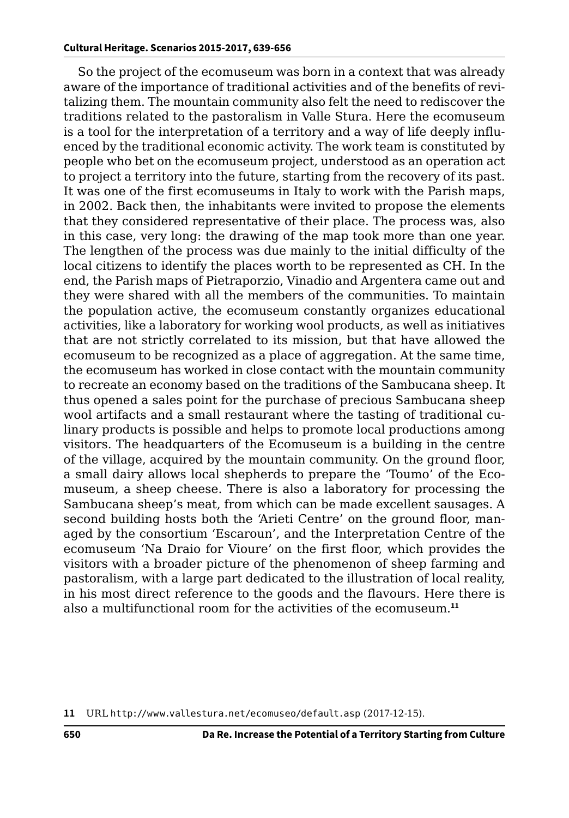So the project of the ecomuseum was born in a context that was already aware of the importance of traditional activities and of the benefits of revitalizing them. The mountain community also felt the need to rediscover the traditions related to the pastoralism in Valle Stura. Here the ecomuseum is a tool for the interpretation of a territory and a way of life deeply influenced by the traditional economic activity. The work team is constituted by people who bet on the ecomuseum project, understood as an operation act to project a territory into the future, starting from the recovery of its past. It was one of the first ecomuseums in Italy to work with the Parish maps, in 2002. Back then, the inhabitants were invited to propose the elements that they considered representative of their place. The process was, also in this case, very long: the drawing of the map took more than one year. The lengthen of the process was due mainly to the initial difficulty of the local citizens to identify the places worth to be represented as CH. In the end, the Parish maps of Pietraporzio, Vinadio and Argentera came out and they were shared with all the members of the communities. To maintain the population active, the ecomuseum constantly organizes educational activities, like a laboratory for working wool products, as well as initiatives that are not strictly correlated to its mission, but that have allowed the ecomuseum to be recognized as a place of aggregation. At the same time, the ecomuseum has worked in close contact with the mountain community to recreate an economy based on the traditions of the Sambucana sheep. It thus opened a sales point for the purchase of precious Sambucana sheep wool artifacts and a small restaurant where the tasting of traditional culinary products is possible and helps to promote local productions among visitors. The headquarters of the Ecomuseum is a building in the centre of the village, acquired by the mountain community. On the ground floor, a small dairy allows local shepherds to prepare the 'Toumo' of the Ecomuseum, a sheep cheese. There is also a laboratory for processing the Sambucana sheep's meat, from which can be made excellent sausages. A second building hosts both the 'Arieti Centre' on the ground floor, managed by the consortium 'Escaroun', and the Interpretation Centre of the ecomuseum 'Na Draio for Vioure' on the first floor, which provides the visitors with a broader picture of the phenomenon of sheep farming and pastoralism, with a large part dedicated to the illustration of local reality, in his most direct reference to the goods and the flavours. Here there is also a multifunctional room for the activities of the ecomuseum.**<sup>11</sup>**

**<sup>11</sup>** URL <http://www.vallestura.net/ecomuseo/default.asp> (2017-12-15).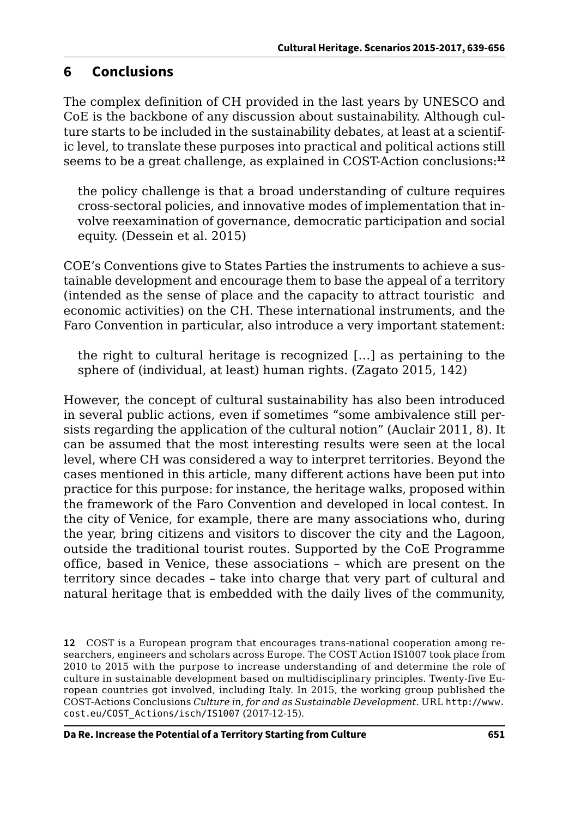## **6 Conclusions**

The complex definition of CH provided in the last years by UNESCO and CoE is the backbone of any discussion about sustainability. Although culture starts to be included in the sustainability debates, at least at a scientific level, to translate these purposes into practical and political actions still seems to be a great challenge, as explained in COST-Action conclusions:**<sup>12</sup>**

the policy challenge is that a broad understanding of culture requires cross-sectoral policies, and innovative modes of implementation that involve reexamination of governance, democratic participation and social equity. (Dessein et al. 2015)

COE's Conventions give to States Parties the instruments to achieve a sustainable development and encourage them to base the appeal of a territory (intended as the sense of place and the capacity to attract touristic and economic activities) on the CH. These international instruments, and the Faro Convention in particular, also introduce a very important statement:

the right to cultural heritage is recognized […] as pertaining to the sphere of (individual, at least) human rights. (Zagato 2015, 142)

However, the concept of cultural sustainability has also been introduced in several public actions, even if sometimes "some ambivalence still persists regarding the application of the cultural notion" (Auclair 2011, 8). It can be assumed that the most interesting results were seen at the local level, where CH was considered a way to interpret territories. Beyond the cases mentioned in this article, many different actions have been put into practice for this purpose: for instance, the heritage walks, proposed within the framework of the Faro Convention and developed in local contest. In the city of Venice, for example, there are many associations who, during the year, bring citizens and visitors to discover the city and the Lagoon, outside the traditional tourist routes. Supported by the CoE Programme office, based in Venice, these associations – which are present on the territory since decades – take into charge that very part of cultural and natural heritage that is embedded with the daily lives of the community,

**<sup>12</sup>** COST is a European program that encourages trans-national cooperation among researchers, engineers and scholars across Europe. The COST Action IS1007 took place from 2010 to 2015 with the purpose to increase understanding of and determine the role of culture in sustainable development based on multidisciplinary principles. Twenty-five European countries got involved, including Italy. In 2015, the working group published the COST-Actions Conclusions *Culture in, for and as Sustainable Development*. URL [http://www.](http://www.cost.eu/COST_Actions/isch/IS1007) [cost.eu/COST\\_Actions/isch/IS1007](http://www.cost.eu/COST_Actions/isch/IS1007) (2017-12-15).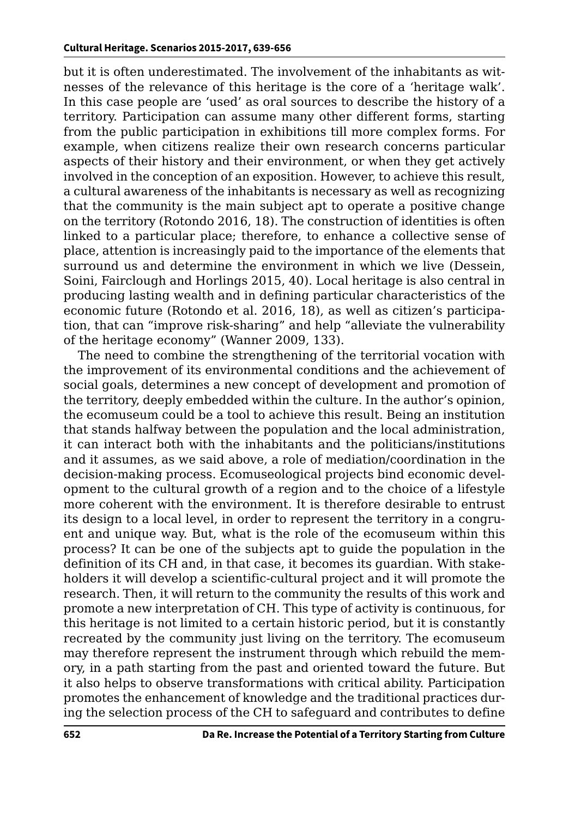but it is often underestimated. The involvement of the inhabitants as witnesses of the relevance of this heritage is the core of a 'heritage walk'. In this case people are 'used' as oral sources to describe the history of a territory. Participation can assume many other different forms, starting from the public participation in exhibitions till more complex forms. For example, when citizens realize their own research concerns particular aspects of their history and their environment, or when they get actively involved in the conception of an exposition. However, to achieve this result, a cultural awareness of the inhabitants is necessary as well as recognizing that the community is the main subject apt to operate a positive change on the territory (Rotondo 2016, 18). The construction of identities is often linked to a particular place; therefore, to enhance a collective sense of place, attention is increasingly paid to the importance of the elements that surround us and determine the environment in which we live (Dessein, Soini, Fairclough and Horlings 2015, 40). Local heritage is also central in producing lasting wealth and in defining particular characteristics of the economic future (Rotondo et al. 2016, 18), as well as citizen's participation, that can "improve risk-sharing" and help "alleviate the vulnerability of the heritage economy" (Wanner 2009, 133).

The need to combine the strengthening of the territorial vocation with the improvement of its environmental conditions and the achievement of social goals, determines a new concept of development and promotion of the territory, deeply embedded within the culture. In the author's opinion, the ecomuseum could be a tool to achieve this result. Being an institution that stands halfway between the population and the local administration, it can interact both with the inhabitants and the politicians/institutions and it assumes, as we said above, a role of mediation/coordination in the decision-making process. Ecomuseological projects bind economic development to the cultural growth of a region and to the choice of a lifestyle more coherent with the environment. It is therefore desirable to entrust its design to a local level, in order to represent the territory in a congruent and unique way. But, what is the role of the ecomuseum within this process? It can be one of the subjects apt to guide the population in the definition of its CH and, in that case, it becomes its guardian. With stakeholders it will develop a scientific-cultural project and it will promote the research. Then, it will return to the community the results of this work and promote a new interpretation of CH. This type of activity is continuous, for this heritage is not limited to a certain historic period, but it is constantly recreated by the community just living on the territory. The ecomuseum may therefore represent the instrument through which rebuild the memory, in a path starting from the past and oriented toward the future. But it also helps to observe transformations with critical ability. Participation promotes the enhancement of knowledge and the traditional practices during the selection process of the CH to safeguard and contributes to define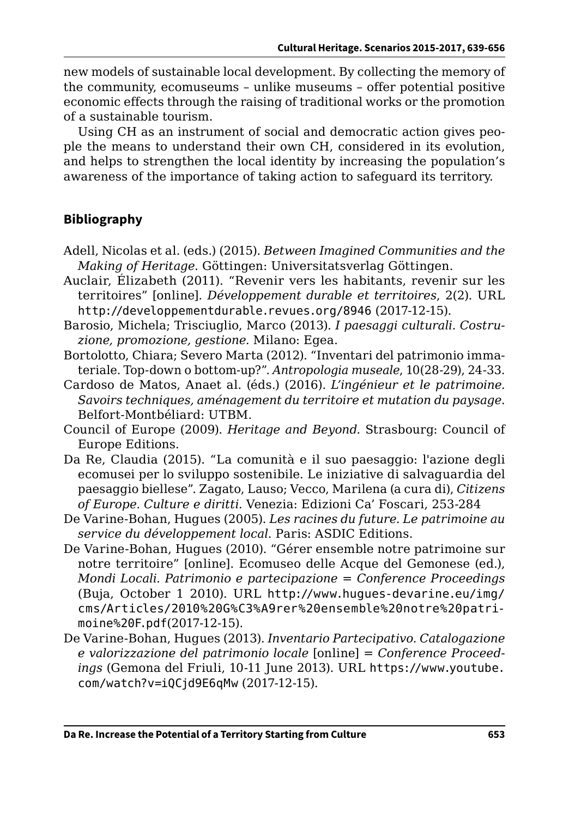new models of sustainable local development. By collecting the memory of the community, ecomuseums – unlike museums – offer potential positive economic effects through the raising of traditional works or the promotion of a sustainable tourism.

Using CH as an instrument of social and democratic action gives people the means to understand their own CH, considered in its evolution, and helps to strengthen the local identity by increasing the population's awareness of the importance of taking action to safeguard its territory.

## **Bibliography**

- Adell, Nicolas et al. (eds.) (2015). *Between Imagined Communities and the Making of Heritage*. Göttingen: Universitatsverlag Göttingen.
- Auclair, Élizabeth (2011). "Revenir vers les habitants, revenir sur les territoires" [online]. *Développement durable et territoires*, 2(2). URL <http://developpementdurable.revues.org/8946> (2017-12-15).
- Barosio, Michela; Trisciuglio, Marco (2013). *I paesaggi culturali. Costruzione, promozione, gestione.* Milano: Egea.
- Bortolotto, Chiara; Severo Marta (2012). "Inventari del patrimonio immateriale. Top-down o bottom-up?". *Antropologia museale*, 10(28-29), 24-33.
- Cardoso de Matos, Anaet al. (éds.) (2016). *L'ingénieur et le patrimoine. Savoirs techniques, aménagement du territoire et mutation du paysage*. Belfort-Montbéliard: UTBM.
- Council of Europe (2009). *Heritage and Beyond.* Strasbourg: Council of Europe Editions.
- Da Re, Claudia (2015). "La comunità e il suo paesaggio: l'azione degli ecomusei per lo sviluppo sostenibile. Le iniziative di salvaguardia del paesaggio biellese". Zagato, Lauso; Vecco, Marilena (a cura di), *Citizens of Europe. Culture e diritti.* Venezia: Edizioni Ca' Foscari, 253-284
- De Varine-Bohan, Hugues (2005). *Les racines du future. Le patrimoine au service du développement local*. Paris: ASDIC Editions.
- De Varine-Bohan, Hugues (2010). "Gérer ensemble notre patrimoine sur notre territoire" [online]. Ecomuseo delle Acque del Gemonese (ed.), *Mondi Locali. Patrimonio e partecipazione* = *Conference Proceedings*  (Buja, October 1 2010). URL [http://www.hugues-devarine.eu/img/](http://www.hugues-devarine.eu/img/cms/Articles/2010%20G%C3%A9rer%20ensemble%20notre%20patrimoine%20F.pdf) [cms/Articles/2010%20G%C3%A9rer%20ensemble%20notre%20patri](http://www.hugues-devarine.eu/img/cms/Articles/2010%20G%C3%A9rer%20ensemble%20notre%20patrimoine%20F.pdf)[moine%20F.pdf](http://www.hugues-devarine.eu/img/cms/Articles/2010%20G%C3%A9rer%20ensemble%20notre%20patrimoine%20F.pdf)(2017-12-15).
- De Varine-Bohan, Hugues (2013). *Inventario Partecipativo. Catalogazione e valorizzazione del patrimonio locale* [online] = *Conference Proceedings* (Gemona del Friuli, 10-11 June 2013). URL [https://www.youtube.](https://www.youtube.com/watch?v=iQCjd9E6qMw) [com/watch?v=iQCjd9E6qMw](https://www.youtube.com/watch?v=iQCjd9E6qMw) (2017-12-15).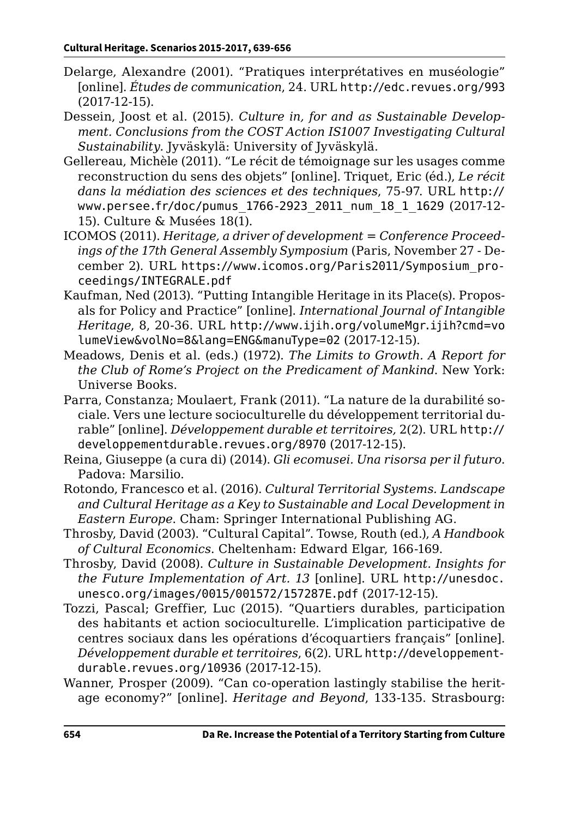- Delarge, Alexandre (2001). "Pratiques interprétatives en muséologie" [online]. *Études de communication*, 24. URL <http://edc.revues.org/993> (2017-12-15).
- Dessein, Joost et al. (2015). *Culture in, for and as Sustainable Development. Conclusions from the COST Action IS1007 Investigating Cultural Sustainability.* Jyväskylä: University of Jyväskylä.
- Gellereau, Michèle (2011). "Le récit de témoignage sur les usages comme reconstruction du sens des objets" [online]. Triquet, Eric (éd.), *Le récit dans la médiation des sciences et des techniques*, 75-97. URL [http://](http://www.persee.fr/doc/pumus_1766-2923_2011_num_18_1_1629) [www.persee.fr/doc/pumus\\_1766-2923\\_2011\\_num\\_18\\_1\\_1629](http://www.persee.fr/doc/pumus_1766-2923_2011_num_18_1_1629) (2017-12- 15). Culture & Musées 18(1).
- ICOMOS (2011). *Heritage, a driver of development* = *Conference Proceedings of the 17th General Assembly Symposium* (Paris, November 27 - December 2). URL [https://www.icomos.org/Paris2011/Symposium\\_pro](https://www.icomos.org/Paris2011/Symposium_proceedings/INTEGRALE.pdf)[ceedings/INTEGRALE.pdf](https://www.icomos.org/Paris2011/Symposium_proceedings/INTEGRALE.pdf)
- Kaufman, Ned (2013). "Putting Intangible Heritage in its Place(s). Proposals for Policy and Practice" [online]. *International Journal of Intangible Heritage*, 8, 20-36. URL [http://www.ijih.org/volumeMgr.ijih?cmd=vo](http://www.ijih.org/volumeMgr.ijih?cmd=volumeView&volNo=8&lang=ENG&manuType=02) [lumeView&volNo=8&lang=ENG&manuType=02](http://www.ijih.org/volumeMgr.ijih?cmd=volumeView&volNo=8&lang=ENG&manuType=02) (2017-12-15).
- Meadows, Denis et al. (eds.) (1972). *The Limits to Growth. A Report for the Club of Rome's Project on the Predicament of Mankind*. New York: Universe Books.
- Parra, Constanza; Moulaert, Frank (2011). "La nature de la durabilité sociale. Vers une lecture socioculturelle du développement territorial durable" [online]. *Développement durable et territoires,* 2(2). URL [http://](http://developpementdurable.revues.org/8970) [developpementdurable.revues.org/8970](http://developpementdurable.revues.org/8970) (2017-12-15).
- Reina, Giuseppe (a cura di) (2014). *Gli ecomusei. Una risorsa per il futuro*. Padova: Marsilio.
- Rotondo, Francesco et al. (2016). *Cultural Territorial Systems. Landscape and Cultural Heritage as a Key to Sustainable and Local Development in Eastern Europe*. Cham: Springer International Publishing AG.
- Throsby, David (2003). "Cultural Capital". Towse, Routh (ed.), *A Handbook of Cultural Economics*. Cheltenham: Edward Elgar, 166-169.
- Throsby, David (2008). *Culture in Sustainable Development. Insights for the Future Implementation of Art. 13* [online]. URL [http://unesdoc.](http://unesdoc.unesco.org/images/0015/001572/157287E.pdf) [unesco.org/images/0015/001572/157287E.pdf](http://unesdoc.unesco.org/images/0015/001572/157287E.pdf) (2017-12-15).
- Tozzi, Pascal; Greffier, Luc (2015). "Quartiers durables, participation des habitants et action socioculturelle. L'implication participative de centres sociaux dans les opérations d'écoquartiers français" [online]. *Développement durable et territoires*, 6(2). URL [http://developpement](http://developpementdurable.revues.org/10936)[durable.revues.org/10936](http://developpementdurable.revues.org/10936) (2017-12-15).
- Wanner, Prosper (2009). "Can co-operation lastingly stabilise the heritage economy?" [online]. *Heritage and Beyond*, 133-135. Strasbourg: